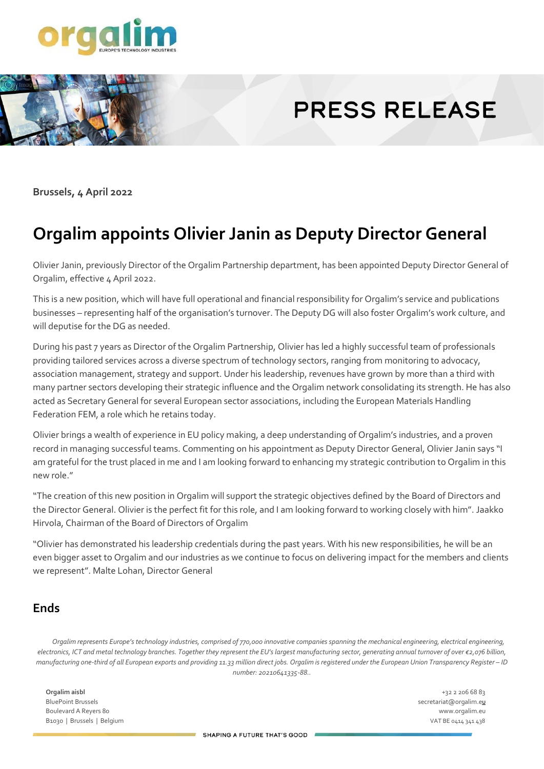

# **PRESS RELEASE**

**Brussels, 4 April 2022**

# **Orgalim appoints Olivier Janin as Deputy Director General**

Olivier Janin, previously Director of the Orgalim Partnership department, has been appointed Deputy Director General of Orgalim, effective 4 April 2022.

This is a new position, which will have full operational and financial responsibility for Orgalim's service and publications businesses – representing half of the organisation's turnover. The Deputy DG will also foster Orgalim's work culture, and will deputise for the DG as needed.

During his past 7 years as Director of the Orgalim Partnership, Olivier has led a highly successful team of professionals providing tailored services across a diverse spectrum of technology sectors, ranging from monitoring to advocacy, association management, strategy and support. Under his leadership, revenues have grown by more than a third with many partner sectors developing their strategic influence and the Orgalim network consolidating its strength. He has also acted as Secretary General for several European sector associations, including the European Materials Handling Federation FEM, a role which he retains today.

Olivier brings a wealth of experience in EU policy making, a deep understanding of Orgalim's industries, and a proven record in managing successful teams. Commenting on his appointment as Deputy Director General, Olivier Janin says "I am grateful for the trust placed in me and I am looking forward to enhancing my strategic contribution to Orgalim in this new role."

"The creation of this new position in Orgalim will support the strategic objectives defined by the Board of Directors and the Director General. Olivier is the perfect fit for this role, and I am looking forward to working closely with him". Jaakko Hirvola, Chairman of the Board of Directors of Orgalim

"Olivier has demonstrated his leadership credentials during the past years. With his new responsibilities, he will be an even bigger asset to Orgalim and our industries as we continue to focus on delivering impact for the members and clients we represent". Malte Lohan, Director General

#### **Ends**

*Orgalim represents Europe's technology industries, comprised of 770,000 innovative companies spanning the mechanical engineering, electrical engineering, electronics, ICT and metal technology branches. Together they represent the EU's largest manufacturing sector, generating annual turnover of over €2,076 billion, manufacturing one-third of all European exports and providing 11.33 million direct jobs. Orgalim is registered under the European Union Transparency Register – ID number: 20210641335-88..*

**Orgalim aisbl** +32 2 206 68 83 BluePoint Brussels secretariat@orgalim.eu Boulevard A Reyers 80 www.orgalim.eu B1030 | Brussels | Belgium VAT BE 0414 341 438